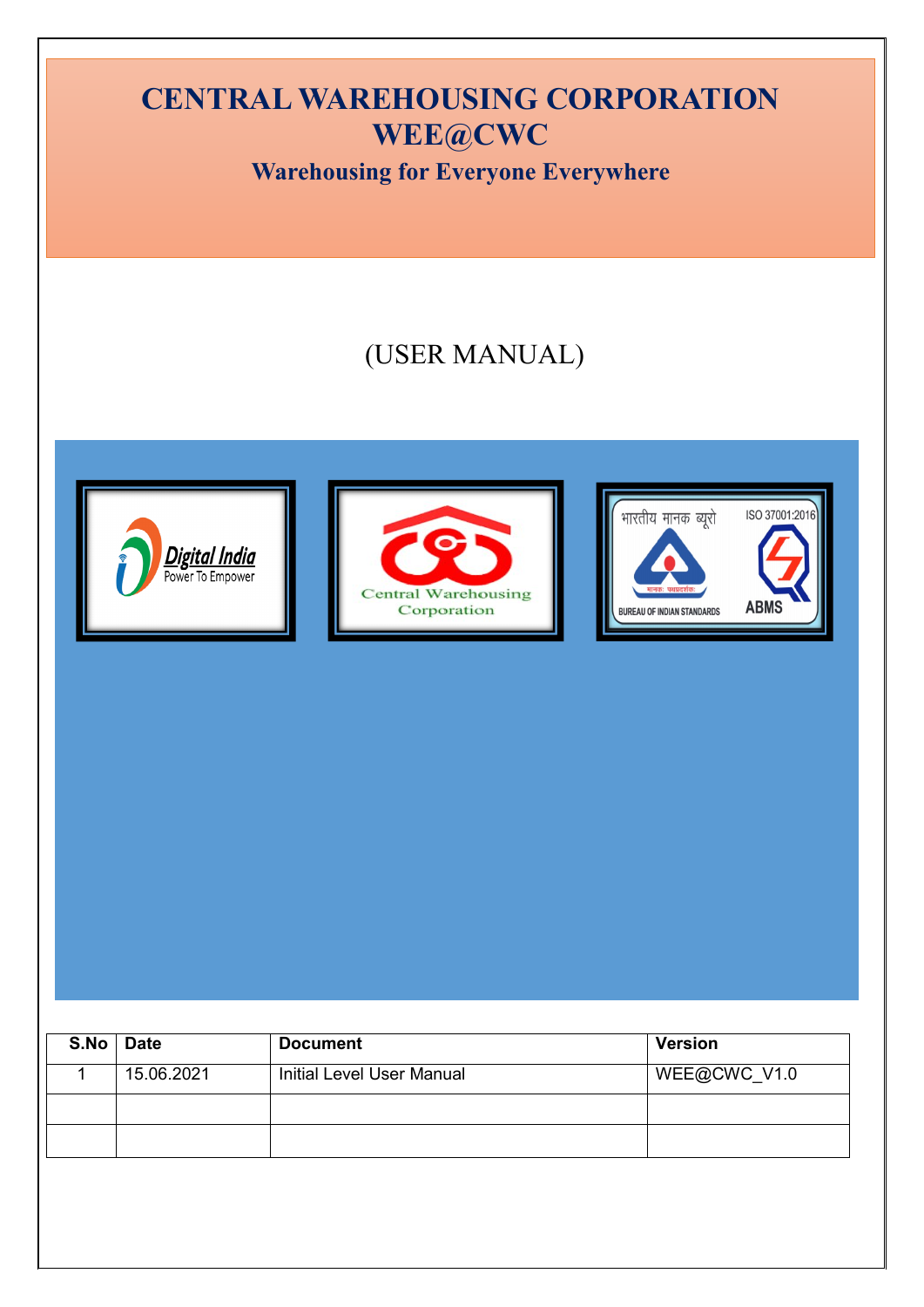# **CENTRAL WAREHOUSING CORPORATION WEE@CWC Warehousing for Everyone Everywhere**(USER MANUAL) ्<br>भारतीय मानक ब्यूरो ISO 37001:2016 **Digital India**<br>Power To Empower **Central Warehousing ABMS** Corporation **BUREAU OF INDIAN STANDARDS**

| S.No | <b>Date</b> | <b>Document</b>                  | <b>Version</b> |
|------|-------------|----------------------------------|----------------|
|      | 15.06.2021  | <b>Initial Level User Manual</b> | WEE@CWC_V1.0   |
|      |             |                                  |                |
|      |             |                                  |                |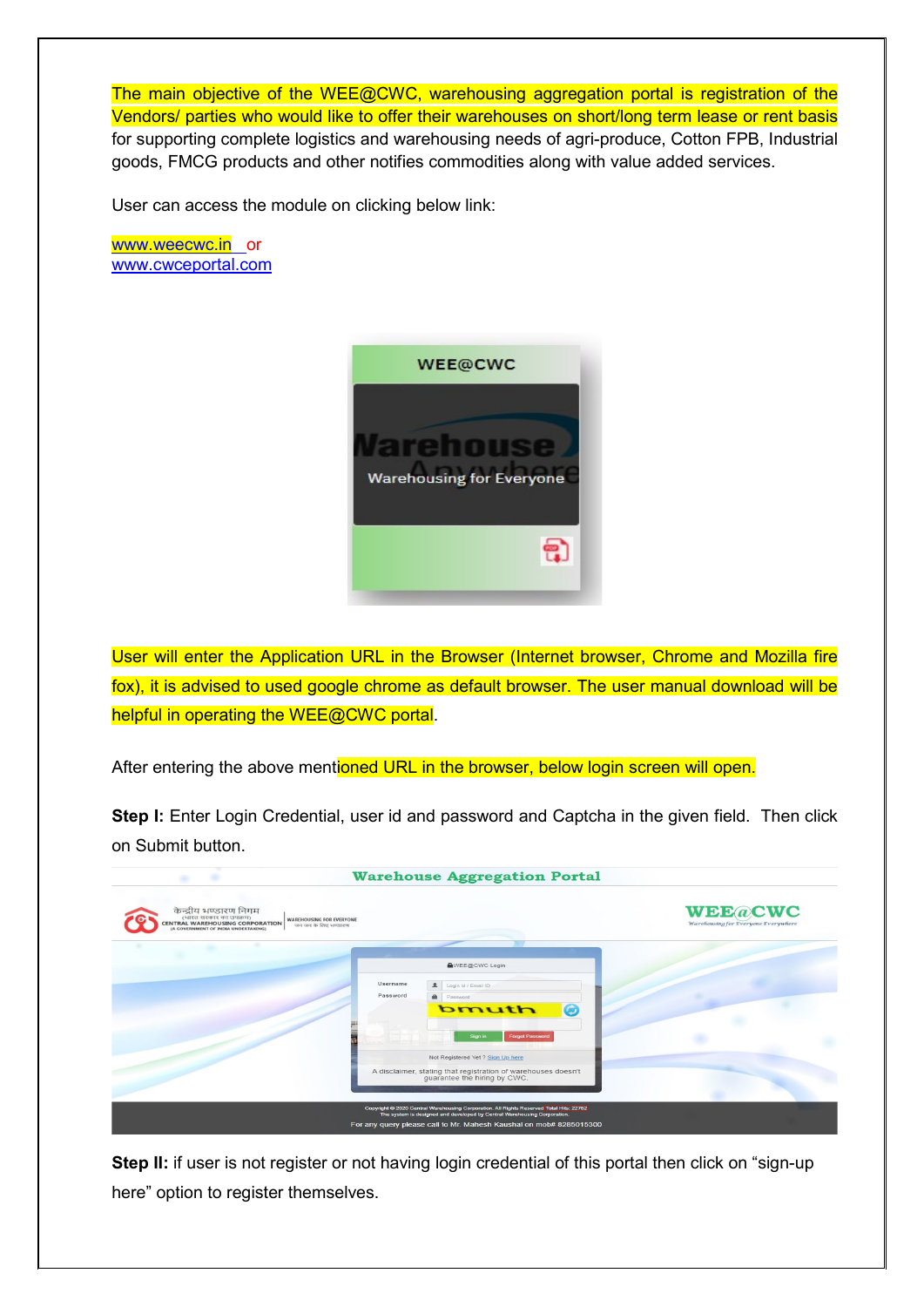The main objective of the WEE@CWC, warehousing aggregation portal is registration of the Vendors/ parties who would like to offer their warehouses on short/long term lease or rent basis for supporting complete logistics and warehousing needs of agri-produce, Cotton FPB, Industrial goods, FMCG products and other notifies commodities along with value added services.

User can access the module on clicking below link:

[www.weecwc.in](http://www.weecwc.in/) or [www.cwceportal.com](http://www.cwceportal.com/)

| <b>WEE@CWC</b>                  |  |
|---------------------------------|--|
| <b>Warehousing for Everyone</b> |  |
|                                 |  |

User will enter the Application URL in the Browser (Internet browser, Chrome and Mozilla fire fox), it is advised to used google chrome as default browser. The user manual download will be helpful in operating the WEE@CWC portal.

After entering the above mentioned URL in the browser, below login screen will open.

**Step I:** Enter Login Credential, user id and password and Captcha in the given field. Then click on Submit button.



**Step II:** if user is not register or not having login credential of this portal then click on "sign-up here" option to register themselves.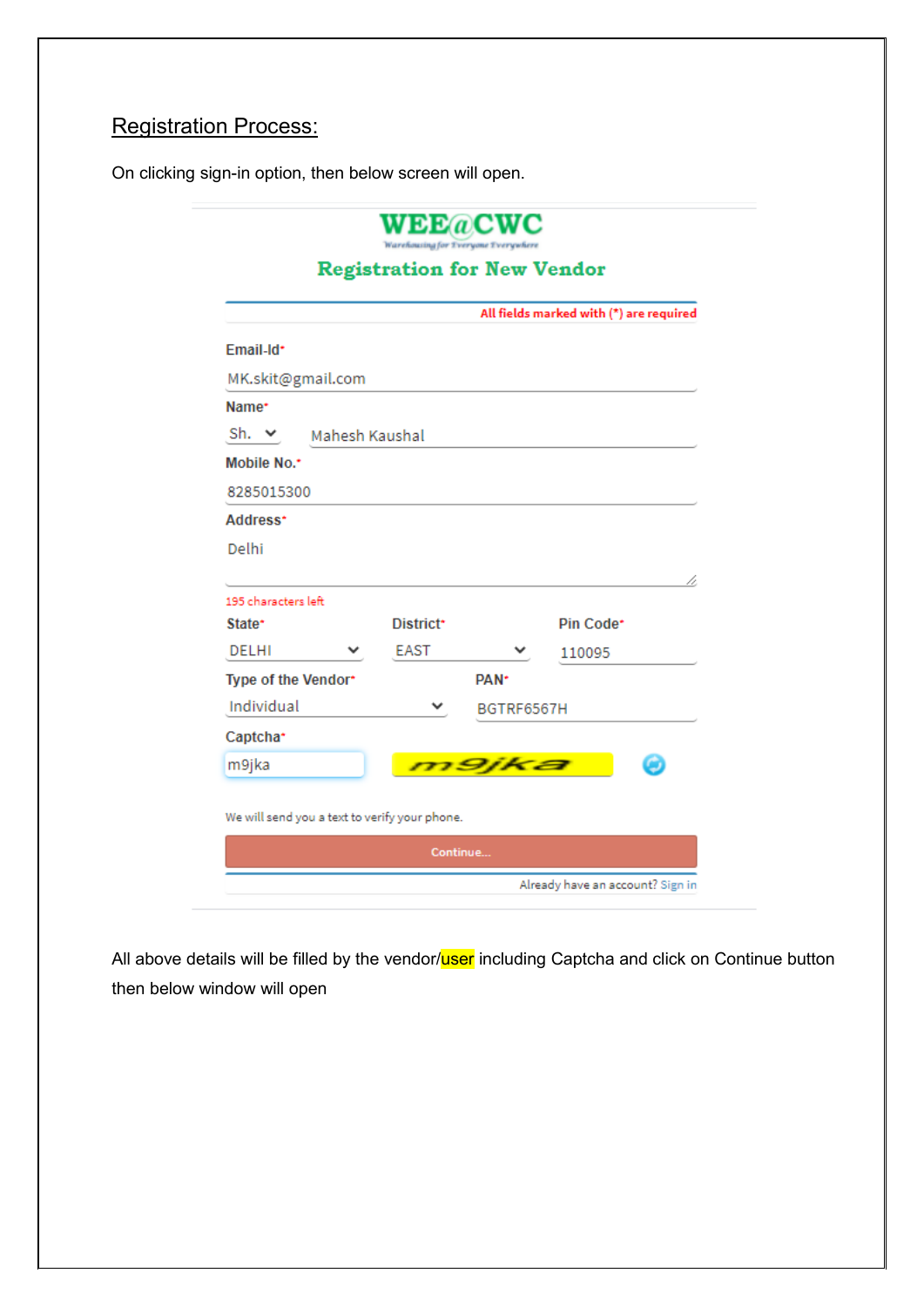## Registration Process:

On clicking sign-in option, then below screen will open.

|                                               |                       |                  | All fields marked with (*) are required |
|-----------------------------------------------|-----------------------|------------------|-----------------------------------------|
| Email-Id*                                     |                       |                  |                                         |
| MK.skit@gmail.com                             |                       |                  |                                         |
| Name*                                         |                       |                  |                                         |
| Sh. $\vee$                                    | Mahesh Kaushal        |                  |                                         |
| Mobile No.*                                   |                       |                  |                                         |
| 8285015300                                    |                       |                  |                                         |
| Address*                                      |                       |                  |                                         |
|                                               |                       |                  |                                         |
| Delhi                                         |                       |                  |                                         |
|                                               |                       |                  | p.                                      |
| 195 characters left                           |                       |                  |                                         |
| State*                                        | District <sup>*</sup> |                  | Pin Code*                               |
| <b>DELHI</b>                                  | <b>EAST</b>           |                  | 110095                                  |
| Type of the Vendor*                           |                       | PAN <sup>+</sup> |                                         |
| Individual                                    |                       | BGTRF6567H       |                                         |
| Captcha*                                      |                       |                  |                                         |
| m9jka                                         |                       | m9ika            |                                         |
|                                               |                       |                  |                                         |
| We will send you a text to verify your phone. |                       |                  |                                         |

All above details will be filled by the vendor/user including Captcha and click on Continue button then below window will open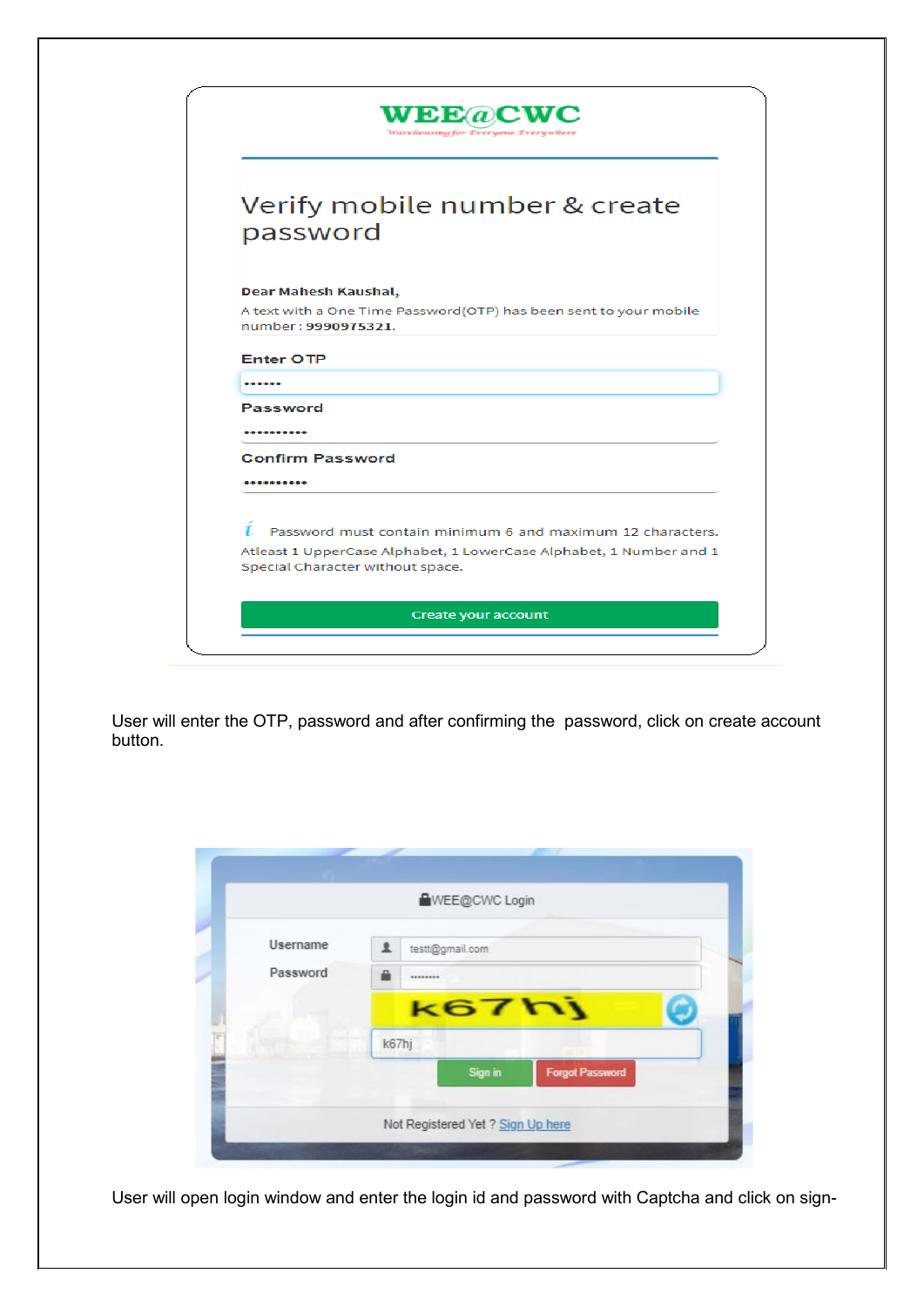|                                  | VEE@CWC<br>Warehousing for Everyone Everywhere                     |
|----------------------------------|--------------------------------------------------------------------|
|                                  | Verify mobile number & create                                      |
| password                         |                                                                    |
| Dear Mahesh Kaushal,             |                                                                    |
| number: 9990975321.              | A text with a One Time Password(OTP) has been sent to your mobile  |
| <b>Enter OTP</b>                 |                                                                    |
| ------                           |                                                                    |
| <b>Password</b>                  |                                                                    |
| ----------                       |                                                                    |
| <b>Confirm Password</b>          |                                                                    |
|                                  |                                                                    |
| 1.                               | Password must contain minimum 6 and maximum 12 characters.         |
| Special Character without space. | Atleast 1 UpperCase Alphabet, 1 LowerCase Alphabet, 1 Number and 1 |
|                                  | Create your account                                                |

User will enter the OTP, password and after confirming the password, click on create account button.

|          | <b>AWEE@CWC Login</b>             |
|----------|-----------------------------------|
| Username | 2.<br>testt@gmail.com             |
| Password | 즓<br>********                     |
|          | k67hj                             |
|          | k67hj                             |
|          | Sign in<br><b>Forgot Password</b> |
|          |                                   |

User will open login window and enter the login id and password with Captcha and click on sign-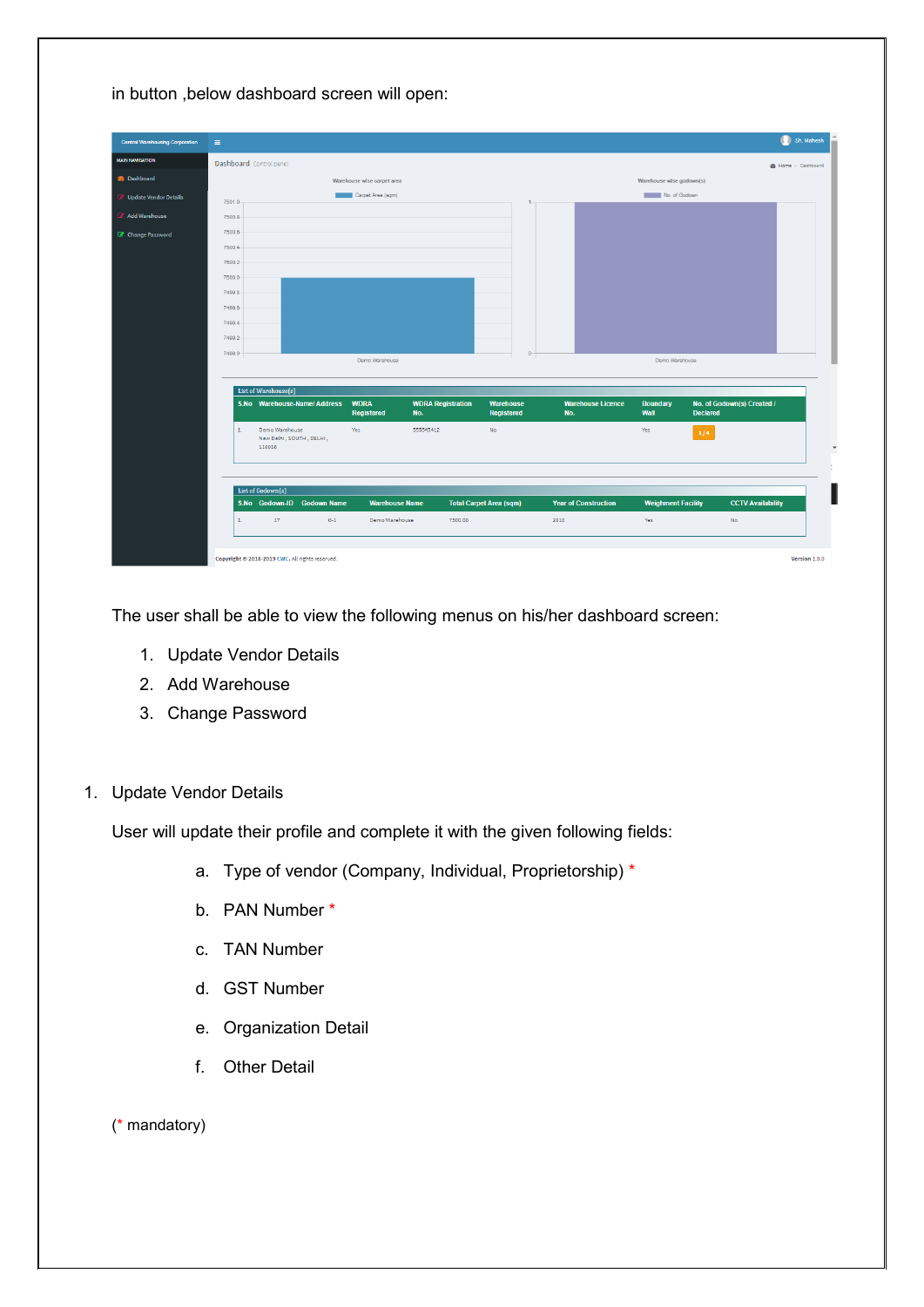|  |  |  | in button , below dashboard screen will open: |  |  |
|--|--|--|-----------------------------------------------|--|--|
|--|--|--|-----------------------------------------------|--|--|

| <b>Central Warehousing Corporation</b> | $\equiv$                |                                                      |                            |                                 |                                |                                 |                           |                                               | Sh. Mahesh                |
|----------------------------------------|-------------------------|------------------------------------------------------|----------------------------|---------------------------------|--------------------------------|---------------------------------|---------------------------|-----------------------------------------------|---------------------------|
| <b>MAIN NAVIGATION</b>                 | Dashboard Control panel |                                                      |                            |                                 |                                |                                 |                           |                                               | <b>B</b> Home > Dashboard |
| <b>B</b> Dashboard                     |                         |                                                      | Warehouse wise carpet area |                                 |                                |                                 | Warehouse wise godown(s)  |                                               |                           |
| <b><i>B</i></b> Update Vendor Details  | 7501.0                  |                                                      | Carpet Area (sqm)          |                                 |                                |                                 | No. of Godown             |                                               |                           |
| Add Warehouse                          | 7500.8                  |                                                      |                            |                                 |                                |                                 |                           |                                               |                           |
| C Change Password                      | 7500.6                  |                                                      |                            |                                 |                                |                                 |                           |                                               |                           |
|                                        | 7500.4                  |                                                      |                            |                                 |                                |                                 |                           |                                               |                           |
|                                        | 7500.2                  |                                                      |                            |                                 |                                |                                 |                           |                                               |                           |
|                                        | 7500.0                  |                                                      |                            |                                 |                                |                                 |                           |                                               |                           |
|                                        | 7499.8                  |                                                      |                            |                                 |                                |                                 |                           |                                               |                           |
|                                        | 7499.6                  |                                                      |                            |                                 |                                |                                 |                           |                                               |                           |
|                                        | 7499.4                  |                                                      |                            |                                 |                                |                                 |                           |                                               |                           |
|                                        | 7499.2                  |                                                      |                            |                                 |                                |                                 |                           |                                               |                           |
|                                        | 7499.0                  |                                                      | Demo Warehouse             |                                 | $0-$                           |                                 | Demo Warehouse            |                                               |                           |
|                                        |                         |                                                      |                            |                                 |                                |                                 |                           |                                               |                           |
|                                        |                         | List of Warehouse(s)                                 |                            |                                 |                                |                                 |                           |                                               |                           |
|                                        |                         | S.No Warehouse-Name/ Address                         | <b>WDRA</b><br>Registered  | <b>WDRA Registration</b><br>No. | <b>Warehouse</b><br>Registered | <b>Warehouse Licence</b><br>No. | <b>Boundary</b><br>Wall   | No. of Godown(s) Created /<br><b>Declared</b> |                           |
|                                        | $1.$                    | Demo Warehouse<br>New Delhi, SOUTH, DELHI,<br>110016 | Yes                        | 555545412                       | No                             |                                 | Yes                       | 1/4                                           |                           |
|                                        |                         | List of Godown(s)                                    |                            |                                 |                                |                                 |                           |                                               |                           |
|                                        |                         | S.No Godown-ID Godown Name                           | <b>Warehouse Name</b>      |                                 | <b>Total Carpet Area (sqm)</b> | <b>Year of Construction</b>     | <b>Weighment Facility</b> | <b>CCTV Availability</b>                      |                           |
|                                        | $1.$                    | 17<br>$G-1$                                          | Demo Warehouse             | 7500.00                         |                                | 2010                            | Yes                       | <b>No</b>                                     |                           |
|                                        |                         |                                                      |                            |                                 |                                |                                 |                           |                                               |                           |

The user shall be able to view the following menus on his/her dashboard screen:

- 1. Update Vendor Details
- 2. Add Warehouse
- 3. Change Password

### 1. Update Vendor Details

User will update their profile and complete it with the given following fields:

- a. Type of vendor (Company, Individual, Proprietorship) \*
- b. PAN Number \*
- c. TAN Number
- d. GST Number
- e. Organization Detail
- f. Other Detail

(\* mandatory)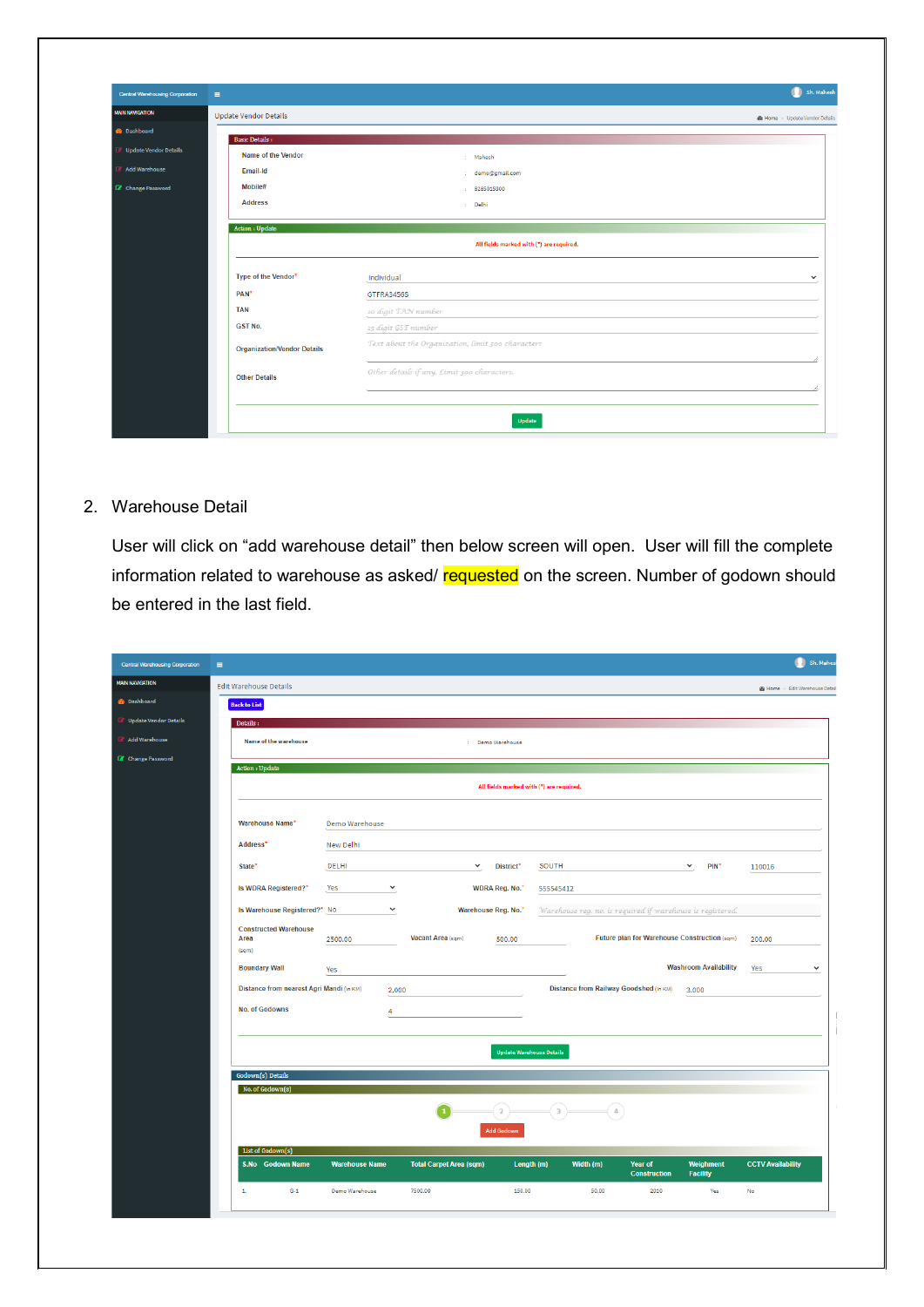| $\equiv$                           |                                                   | Sh. Mahesh   |
|------------------------------------|---------------------------------------------------|--------------|
| <b>Update Vendor Details</b>       | <b>@</b> Home > Update Vendor Details             |              |
| <b>Basic Details:</b>              |                                                   |              |
| Name of the Vendor                 |                                                   |              |
| Email-Id                           | : Mahesh                                          |              |
| Mobile#                            | : demo@gmail.com                                  |              |
| <b>Address</b>                     | : 8285015300                                      |              |
|                                    | : Delhi                                           |              |
| Action : Update                    |                                                   |              |
|                                    | All fields marked with (*) are required.          |              |
|                                    |                                                   |              |
| Type of the Vendor*                | Individual                                        |              |
| PAN <sup>*</sup>                   | GTFRA3456S                                        |              |
| <b>TAN</b>                         |                                                   |              |
| <b>GST No.</b>                     | 10 digit TAN number                               |              |
|                                    | 15 digit GST number                               |              |
| <b>Organization/Vendor Details</b> | Text about the Organization, limit 500 characters |              |
| <b>Other Details</b>               | Other details if any. Limit 300 characters.       | $\checkmark$ |

#### 2. Warehouse Detail

User will click on "add warehouse detail" then below screen will open. User will fill the complete information related to warehouse as asked/ requested on the screen. Number of godown should be entered in the last field.

| Central Warehousing Corporation       | $\equiv$                                 |                       |                                |                                          |                                                            |                                              |                              |                                       | Sh. Mahes    |
|---------------------------------------|------------------------------------------|-----------------------|--------------------------------|------------------------------------------|------------------------------------------------------------|----------------------------------------------|------------------------------|---------------------------------------|--------------|
| <b>MAIN NAVIGATION</b>                | <b>Edit Warehouse Details</b>            |                       |                                |                                          |                                                            |                                              |                              | <b>@</b> Home > Edit Warehouse Detail |              |
| <b>B</b> Dashboard                    | <b>Back to List</b>                      |                       |                                |                                          |                                                            |                                              |                              |                                       |              |
| <b><i>B</i></b> Update Vendor Details | Details:                                 |                       |                                |                                          |                                                            |                                              |                              |                                       |              |
| Add Warehouse                         | Name of the warehouse                    |                       |                                | : Demo Warehouse                         |                                                            |                                              |                              |                                       |              |
| C Change Password                     | Action : Update                          |                       |                                |                                          |                                                            |                                              |                              |                                       |              |
|                                       |                                          |                       |                                | All fields marked with (*) are required. |                                                            |                                              |                              |                                       |              |
|                                       |                                          |                       |                                |                                          |                                                            |                                              |                              |                                       |              |
|                                       | Warehouse Name*                          | Demo Warehouse        |                                |                                          |                                                            |                                              |                              |                                       |              |
|                                       | Address*                                 | <b>New Delhi</b>      |                                |                                          |                                                            |                                              |                              |                                       |              |
|                                       | State*                                   | DELHI                 | $\checkmark$                   | District*                                | SOUTH                                                      |                                              | PIN*<br>$\checkmark$         | 110016                                |              |
|                                       | Is WDRA Registered?*                     | Yes<br>$\checkmark$   |                                | WDRA Reg. No.*                           | 555545412                                                  |                                              |                              |                                       |              |
|                                       | Is Warehouse Registered?* No             | $\checkmark$          |                                | Warehouse Reg. No.*                      |                                                            |                                              |                              |                                       |              |
|                                       | <b>Constructed Warehouse</b>             |                       |                                |                                          | Warehouse reg. no. is required if warehouse is registered. |                                              |                              |                                       |              |
|                                       | Area<br>(sqm)                            | 2500.00               | Vacant Area (sqm)              | 500.00                                   |                                                            | Future plan for Warehouse Construction (sqm) |                              | 200.00                                |              |
|                                       | <b>Boundary Wall</b>                     | Yes                   |                                |                                          |                                                            |                                              | <b>Washroom Availability</b> | Yes                                   | $\checkmark$ |
|                                       | Distance from nearest Agri Mandi (In KM) |                       | 2.000                          |                                          | Distance from Railway Goodshed (In KM)                     |                                              | 3.000                        |                                       |              |
|                                       | No. of Godowns                           |                       |                                |                                          |                                                            |                                              |                              |                                       |              |
|                                       |                                          | $\overline{4}$        |                                |                                          |                                                            |                                              |                              |                                       | H            |
|                                       |                                          |                       |                                |                                          |                                                            |                                              |                              |                                       |              |
|                                       |                                          |                       |                                | <b>Update Warehouse Details</b>          |                                                            |                                              |                              |                                       |              |
|                                       | Godown(s) Details<br>No. of Godown(s)    |                       |                                |                                          |                                                            |                                              |                              |                                       |              |
|                                       |                                          |                       |                                |                                          |                                                            |                                              |                              |                                       |              |
|                                       |                                          |                       |                                | $\overline{a}$                           | $\overline{3}$                                             |                                              |                              |                                       |              |
|                                       |                                          |                       |                                | <b>Add Godow</b>                         |                                                            |                                              |                              |                                       |              |
|                                       | List of Godown(s)<br>S.No Godown Name    | <b>Warehouse Name</b> | <b>Total Carpet Area (sqm)</b> | Length (m)                               | Width (m)                                                  | Year of                                      | Weighment                    | <b>CCTV Availability</b>              |              |
|                                       |                                          |                       |                                |                                          |                                                            | <b>Construction</b>                          | <b>Facility</b>              |                                       |              |
|                                       | $\mathbf{L}$<br>$G-1$                    | Demo Warehouse        | 7500.00                        | 150.00                                   | 50.00                                                      | 2010                                         | Yes                          | <b>No</b>                             |              |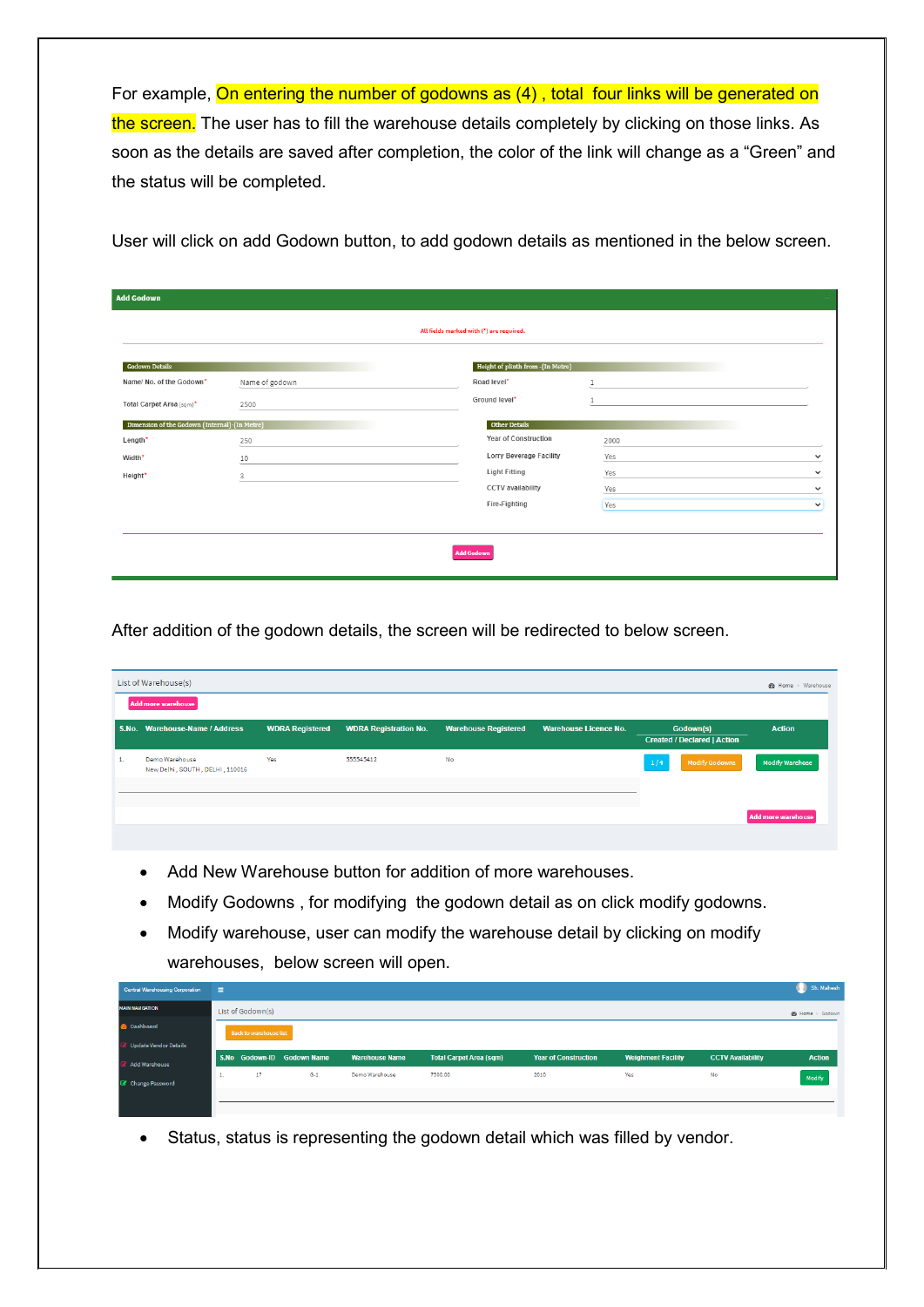For example, On entering the number of godowns as (4), total four links will be generated on the screen. The user has to fill the warehouse details completely by clicking on those links. As soon as the details are saved after completion, the color of the link will change as a "Green" and the status will be completed.

User will click on add Godown button, to add godown details as mentioned in the below screen.

| <b>Add Godown</b>                             |                |                                          |      | 52           |
|-----------------------------------------------|----------------|------------------------------------------|------|--------------|
|                                               |                | All fields marked with (*) are required. |      |              |
| <b>Godown Details</b>                         |                | Height of plinth from -(In Metre)        |      |              |
| Name/ No. of the Godown*                      | Name of godown | Road level*                              |      |              |
| Total Carpet Area (sqm)*                      | 2500           | Ground level*                            |      |              |
| Dimension of the Godown (Internal)-(In Metre) |                | Other Details                            |      |              |
| Length*                                       | 250            | Year of Construction                     | 2000 |              |
| Width*                                        | 10             | Lorry Beverage Facility                  | Yes  | $\checkmark$ |
| Height*                                       | 3              | <b>Light Fitting</b>                     | Yes  | $\checkmark$ |
|                                               |                | CCTV availability                        | Yes  | $\checkmark$ |
|                                               |                | Fire-Fighting                            | Yes  | $\checkmark$ |
|                                               |                |                                          |      |              |
|                                               |                |                                          |      |              |
|                                               |                | <b>Add Godown</b>                        |      |              |
|                                               |                |                                          |      |              |

After addition of the godown details, the screen will be redirected to below screen.

|    | List of Warehouse(s)<br>Add more warehouse        |                        |                              |                             |                              |     |                                                 |                        |  |  |
|----|---------------------------------------------------|------------------------|------------------------------|-----------------------------|------------------------------|-----|-------------------------------------------------|------------------------|--|--|
|    | S.No. Warehouse-Name / Address                    | <b>WDRA Registered</b> | <b>WDRA Registration No.</b> | <b>Warehouse Registered</b> | <b>Warehouse Licence No.</b> |     | Godown(s)<br><b>Created / Declared   Action</b> | <b>Action</b>          |  |  |
| 1. | Demo Warehouse<br>New Delhi, SOUTH, DELHI, 110016 | Yes                    | 555545412                    | No                          |                              | 1/4 | <b>Modify Godowns</b>                           | <b>Modify Warehose</b> |  |  |
|    |                                                   |                        |                              |                             |                              |     |                                                 | Add more warehouse     |  |  |

- Add New Warehouse button for addition of more warehouses.
- Modify Godowns , for modifying the godown detail as on click modify godowns.
- Modify warehouse, user can modify the warehouse detail by clicking on modify warehouses, below screen will open.

| <b>Central Warehousing Corporation</b> | a m |                               |                            |                       |                                |                             |                           |                          | Sh. Mahesh    |  |  |
|----------------------------------------|-----|-------------------------------|----------------------------|-----------------------|--------------------------------|-----------------------------|---------------------------|--------------------------|---------------|--|--|
| <b>MAIN NAVIGATION</b>                 |     | List of Godown(s)             |                            |                       |                                |                             |                           |                          |               |  |  |
| <b>Pe</b> Dashboard                    |     | <b>Back to warehouse list</b> |                            |                       |                                |                             |                           |                          |               |  |  |
| Update Vendor Details                  |     |                               |                            |                       |                                |                             |                           |                          |               |  |  |
| Add Warehouse                          |     |                               | S.No Godown-ID Godown Name | <b>Warehouse Name</b> | <b>Total Carpet Area (sqm)</b> | <b>Year of Construction</b> | <b>Weighment Facility</b> | <b>CCTV Availability</b> | <b>Action</b> |  |  |
| C Change Password                      | -44 | 17                            | $G-1$                      | Demo Warehouse        | 7500.00                        | 2010                        | Yes                       | No                       | Modify        |  |  |
|                                        |     |                               |                            |                       |                                |                             |                           |                          |               |  |  |

• Status, status is representing the godown detail which was filled by vendor.